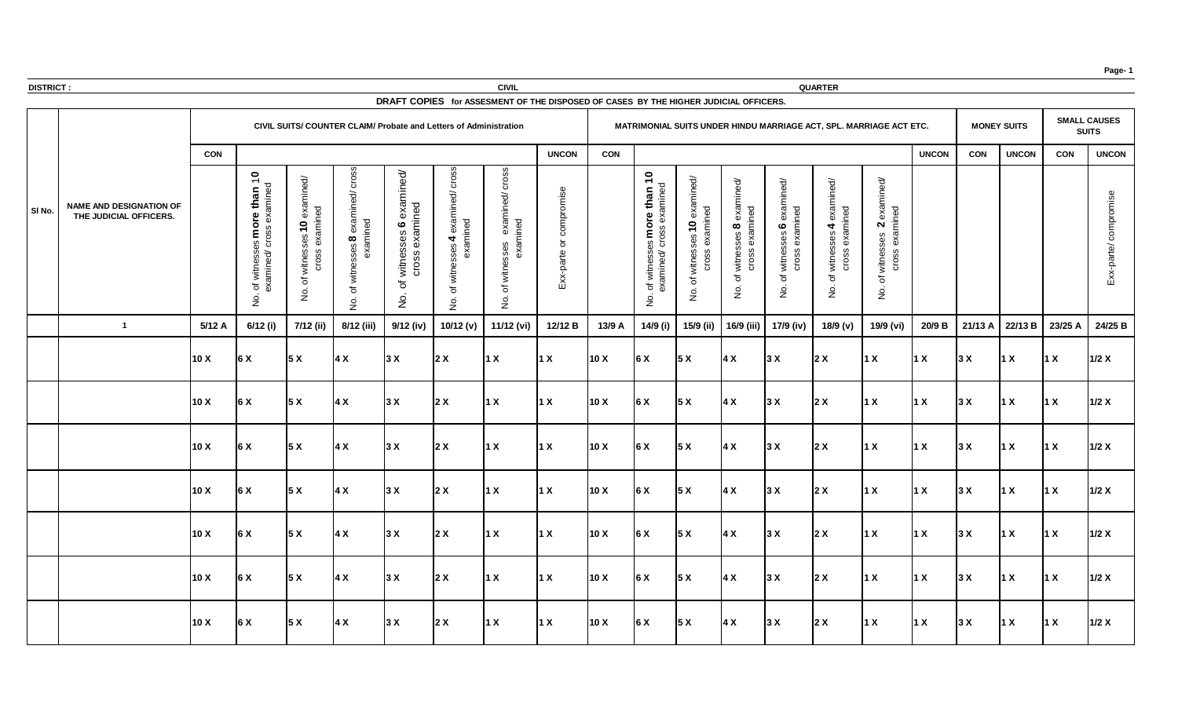| <b>DISTRICT:</b> |                                                          |            |                                                                |                                                                 |                                                                          |                                                                                   |                       | <b>CIVIL</b>                                                                                                       |                                                               |            |                                                                                                                                                                   |                                      |                                                                    |                                                                      | <b>QUARTER</b>                                                                  |                                                                                                                            |              |            |                         |             |                     |
|------------------|----------------------------------------------------------|------------|----------------------------------------------------------------|-----------------------------------------------------------------|--------------------------------------------------------------------------|-----------------------------------------------------------------------------------|-----------------------|--------------------------------------------------------------------------------------------------------------------|---------------------------------------------------------------|------------|-------------------------------------------------------------------------------------------------------------------------------------------------------------------|--------------------------------------|--------------------------------------------------------------------|----------------------------------------------------------------------|---------------------------------------------------------------------------------|----------------------------------------------------------------------------------------------------------------------------|--------------|------------|-------------------------|-------------|---------------------|
|                  |                                                          |            |                                                                |                                                                 | <b>CIVIL SUITS/ COUNTER CLAIM/ Probate and Letters of Administration</b> |                                                                                   |                       | DRAFT COPIES for ASSESMENT OF THE DISPOSED OF CASES BY THE HIGHER JUDICIAL OFFICERS.                               |                                                               |            |                                                                                                                                                                   |                                      |                                                                    |                                                                      | MATRIMONIAL SUITS UNDER HINDU MARRIAGE ACT, SPL. MARRIAGE ACT ETC.              |                                                                                                                            |              |            | <b>MONEY SUITS</b>      |             | <b>SMALL CAUSES</b> |
|                  |                                                          |            |                                                                |                                                                 |                                                                          |                                                                                   |                       |                                                                                                                    |                                                               |            |                                                                                                                                                                   |                                      |                                                                    |                                                                      |                                                                                 |                                                                                                                            |              |            |                         |             | <b>SUITS</b>        |
|                  |                                                          | <b>CON</b> |                                                                |                                                                 |                                                                          |                                                                                   |                       | ഗ                                                                                                                  | <b>UNCON</b>                                                  | <b>CON</b> |                                                                                                                                                                   |                                      |                                                                    |                                                                      |                                                                                 |                                                                                                                            | <b>UNCON</b> | <b>CON</b> | <b>UNCON</b>            | <b>CON</b>  | <b>UNCON</b>        |
| SI No.           | <b>NAME AND DESIGNATION OF</b><br>THE JUDICIAL OFFICERS. |            | $\bullet$<br>$\frac{1}{2}$<br>്ധ<br>ഗ<br>amin<br>đ<br>$\delta$ | ਰੋ<br>$\dot{\bar{\epsilon}}$<br>ന<br>O<br>vitr<br>$\frac{1}{2}$ | exa<br>ு<br>$\infty$<br>្រ<br>$\overline{z}$                             | pa<br>x:<br>È<br>ဖ<br>ses<br>exa<br><b>S</b><br>ທ<br>$\circ$<br>ま<br>マ<br>$\circ$ | $rac{1}{2}$           | $\omega$<br>∩<br>$\overline{\sigma}$<br>ned<br>$\widetilde{\mathsf{S}}$<br>ses<br>$\times 3$<br>ិ<br>$\frac{1}{2}$ | . በ<br>ein<br>⌒<br>$\circ$<br>$\overline{e}$<br>$\times$<br>ш |            | $\overline{\mathbf{C}}$<br>$\overline{\mathrm{C}}$<br>than<br>ÈΞ<br>more<br><b>S</b><br><u>ທ</u><br>witn<br>amir<br>$\sigma$<br>$\mathsf{\underline{\mathsf{S}}}$ | σ<br>Φ<br>O<br>witr<br>$\circ$<br>Ž. | exar<br>$\sigma$<br>Ō<br>$\infty$<br>witne<br>CrO<br>$\frac{1}{2}$ | exa<br>$\overline{\mathsf{D}}$<br>ဖ<br>与<br>$\circ$<br>$\frac{1}{2}$ | $\overline{\mathbf{C}}$<br>exa<br>่ ดา<br>$\blacktriangleleft$<br>$\frac{1}{2}$ | mined/<br>exa<br>$\overline{\mathbf{C}}$<br>O<br>$\mathbf N$<br>ses<br>$\delta$<br>witnes<br><b>Cross</b><br>$\frac{1}{2}$ |              |            |                         |             |                     |
|                  |                                                          | 5/12A      | 6/12 (i)                                                       | 7/12 (ii)                                                       | 8/12 (iii)                                                               | 9/12 (iv)                                                                         | 10/12 (v) $\parallel$ | 11/12 (vi)                                                                                                         | 12/12 B                                                       | 13/9 A     |                                                                                                                                                                   |                                      |                                                                    | 14/9 (i)   15/9 (ii)   16/9 (iii)   17/9 (iv)                        | 18/9 (v)                                                                        | 19/9 (vi)                                                                                                                  | 20/9 B       |            | 21/13 A 22/13 B 23/25 A |             | 24/25 B             |
|                  |                                                          | 10X        | $\overline{6}$ X                                               | 5X                                                              | 4 X                                                                      | 3X                                                                                | 2X                    | $\vert$ 1 X                                                                                                        | $\vert$ 1 X                                                   | 10X        | 6 X                                                                                                                                                               | 5x                                   | $\vert$ 4 X                                                        | 3 X                                                                  | $\vert$ 2 X                                                                     | $\vert$ 1 X                                                                                                                | $\vert$ 1 X  | 3X         | $\vert$ 1 X             | $\vert$ 1 X | 1/2 X               |
|                  |                                                          | 10X        | 6 X                                                            | 5X                                                              | $\vert 4 \times$                                                         | 3X                                                                                | 2X                    | $\vert$ 1 X                                                                                                        | $\vert$ 1 X                                                   | 10 X       | 6 X                                                                                                                                                               | 5 X                                  | $\vert$ 4 X                                                        | 3 X                                                                  | $\vert$ 2 X                                                                     | $\vert$ 1 X                                                                                                                | $\vert$ 1 X  | 3X         | $\vert$ 1 X             | $\vert$ 1 X | 1/2 X               |
|                  |                                                          | 10X        | 6X                                                             | 5x                                                              | $\overline{4}$ X                                                         | 3X                                                                                | 2X                    | 1 X                                                                                                                | $\vert$ 1 X                                                   | 10X        | 6X                                                                                                                                                                | 5x                                   | 4X                                                                 | 3X                                                                   | 2X                                                                              | $\vert$ 1 X                                                                                                                | $\vert$ 1 X  | 3X         | $\vert$ 1 X             | $\vert$ 1 X | 1/2 X               |
|                  |                                                          | 10X        | 6 X                                                            | 5X                                                              | $\overline{4}$ X                                                         | 3X                                                                                | 2X                    | $\vert$ 1 X                                                                                                        | $\vert$ 1 X                                                   | 10X        | 6X                                                                                                                                                                | 5x                                   | $\vert 4 \times$                                                   | 3 X                                                                  | 2X                                                                              | $\vert$ 1 X                                                                                                                | $\vert$ 1 X  | 3 X        | $\vert$ 1 X             | $\vert$ 1 X | 1/2 X               |
|                  |                                                          | 10X        | 6 X                                                            | 5x                                                              | $\overline{4}$ X                                                         | 3X                                                                                | 2X                    | $\vert$ 1 X                                                                                                        | $\vert$ 1 X                                                   | 10X        | 6X                                                                                                                                                                | 5x                                   | $\vert$ 4 X                                                        | 3X                                                                   | 2X                                                                              | 1X                                                                                                                         | $\vert$ 1 X  | 3X         | 1 X                     | $\vert$ 1 X | 1/2 X               |
|                  |                                                          | 10X        | 6X                                                             | 5x                                                              | $\overline{4}$ X                                                         | 3X                                                                                | $2 \times$            | $\vert$ 1 X                                                                                                        | $\vert$ 1 X                                                   | 10X        | 6X                                                                                                                                                                | 5 X                                  | $\vert$ 4 X                                                        | 3 X                                                                  | 2X                                                                              | $\vert$ 1 X                                                                                                                | $\vert$ 1 X  | 3 X        | $\vert$ 1 X             | $\vert$ 1 X | 1/2 X               |
|                  |                                                          | 10X        | 6 X                                                            | 5x                                                              | $\vert$ 4 X                                                              | 3X                                                                                | 2X                    | $\vert$ 1 X                                                                                                        | $\vert$ 1 X                                                   | 10 X       | 6 X                                                                                                                                                               | 5x                                   | 4X                                                                 | 3 X                                                                  | 2X                                                                              | $\vert$ 1 X                                                                                                                | $\vert$ 1 X  | 3X         | $\vert$ 1 X             | $\vert$ 1 X | $1/2$ X             |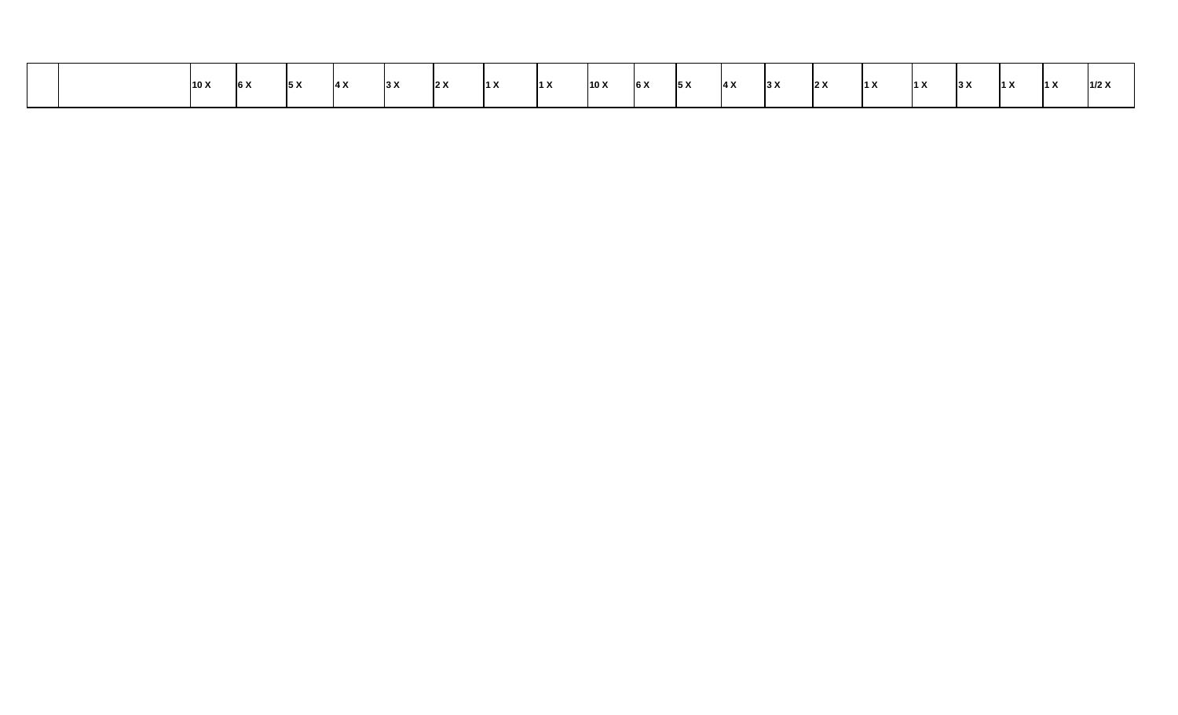|  | 10 X | $\overline{6}$ X | 5X | $\overline{ }$<br>14 A | 3 X | 2 X | $\vert$ 1 X | $\vert$ 1 X | 10X | 6X | IF V<br>$\overline{S}$ | $\vert 4 \times$ | 3 X | 2X | $\vert$ 1 X | $\vert$ 1 X | 3 X | 14 V | 14 V<br>$\blacksquare$ | 1/2 X |
|--|------|------------------|----|------------------------|-----|-----|-------------|-------------|-----|----|------------------------|------------------|-----|----|-------------|-------------|-----|------|------------------------|-------|
|  |      |                  |    |                        |     |     |             |             |     |    |                        |                  |     |    |             |             |     |      |                        |       |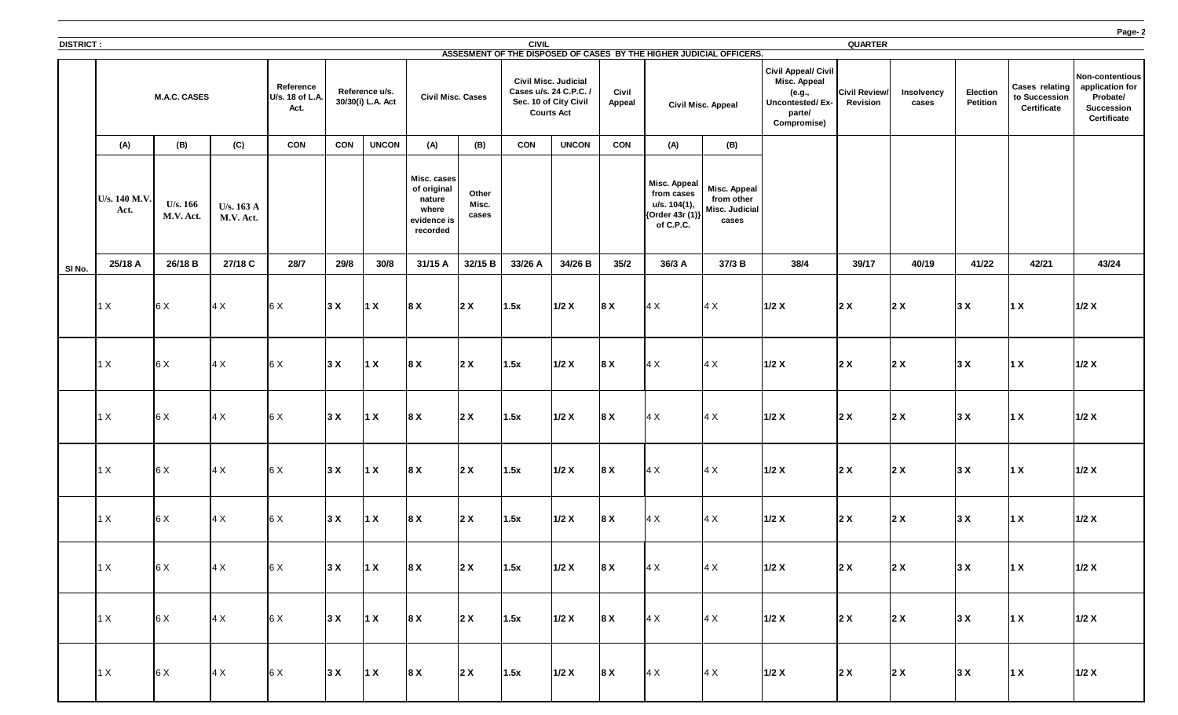

| <b>DISTRICT:</b> |                       |                              |                                   |                                             |            |                                     |                                                                          |                         | <b>CIVIL</b>      |                                                                                |                               |                                                                                   |                                                                                                  |                                                                                                                | <b>QUARTER</b>                          |                            |                                    |                                                              |                                                                           |
|------------------|-----------------------|------------------------------|-----------------------------------|---------------------------------------------|------------|-------------------------------------|--------------------------------------------------------------------------|-------------------------|-------------------|--------------------------------------------------------------------------------|-------------------------------|-----------------------------------------------------------------------------------|--------------------------------------------------------------------------------------------------|----------------------------------------------------------------------------------------------------------------|-----------------------------------------|----------------------------|------------------------------------|--------------------------------------------------------------|---------------------------------------------------------------------------|
|                  |                       | <b>M.A.C. CASES</b>          |                                   | <b>Reference</b><br>U/s. 18 of L.A.<br>Act. |            | Reference u/s.<br>30/30(i) L.A. Act | <b>Civil Misc. Cases</b>                                                 |                         | <b>Courts Act</b> | <b>Civil Misc. Judicial</b><br>Cases u/s. 24 C.P.C. /<br>Sec. 10 of City Civil | <b>Civil</b><br><b>Appeal</b> |                                                                                   | ASSESMENT OF THE DISPOSED OF CASES BY THE HIGHER JUDICIAL OFFICERS.<br><b>Civil Misc. Appeal</b> | <b>Civil Appeal/ Civil</b><br><b>Misc. Appeal</b><br>(e.g.,<br>Uncontested/Ex-<br>parte/<br><b>Compromise)</b> | <b>Civil Review/</b><br><b>Revision</b> | <b>Insolvency</b><br>cases | <b>Election</b><br><b>Petition</b> | <b>Cases relating</b><br>to Succession<br><b>Certificate</b> | Non-conter<br>applicatio<br>Probate<br><b>Success</b><br><b>Certifica</b> |
|                  | (A)                   | (B)                          | (C)                               | <b>CON</b>                                  | <b>CON</b> | <b>UNCON</b>                        | (A)                                                                      | (B)                     | <b>CON</b>        | <b>UNCON</b>                                                                   | <b>CON</b>                    | (A)                                                                               | (B)                                                                                              |                                                                                                                |                                         |                            |                                    |                                                              |                                                                           |
|                  | U/s. 140 M.V.<br>Act. | <b>U/s. 166</b><br>M.V. Act. | U/s. $163 \text{ A}$<br>M.V. Act. |                                             |            |                                     | Misc. cases<br>of original<br>nature<br>where<br>evidence is<br>recorded | Other<br>Misc.<br>cases |                   |                                                                                |                               | <b>Misc. Appeal</b><br>from cases<br>u/s. 104(1),<br>{Order 43r (1)}<br>of C.P.C. | <b>Misc. Appeal</b><br>from other<br>Misc. Judicial<br>cases                                     |                                                                                                                |                                         |                            |                                    |                                                              |                                                                           |
| SI No.           | 25/18 A               | 26/18 B                      | 27/18 C                           | 28/7                                        | 29/8       | 30/8                                | 31/15 A                                                                  | 32/15 B                 | 33/26 A           | 34/26 B                                                                        | 35/2                          | 36/3 A                                                                            | 37/3B                                                                                            | 38/4                                                                                                           | 39/17                                   | 40/19                      | 41/22                              | 42/21                                                        | 43/24                                                                     |
|                  | 1 X                   | 6X                           | 4 X                               | 6 X                                         | 3X         | $\vert$ 1 X                         | 8 X                                                                      | 2X                      | 1.5x              | $1/2$ X                                                                        | 8 X                           | 4 X                                                                               | $\vert 4 \times$                                                                                 | $1/2$ X                                                                                                        | 2X                                      | 2X                         | 3X                                 | 1X                                                           | 1/2 X                                                                     |
|                  | 1 X                   | 6 X                          | 4 X                               | 6X                                          | 3X         | $\vert$ 1 X                         | 8 X                                                                      | $2 \times$              | 1.5x              | $1/2$ X                                                                        | 8 X                           | 4 X                                                                               | $\vert 4 \times$                                                                                 | $1/2$ X                                                                                                        | 2X                                      | $\vert$ 2 X                | 3X                                 | $\vert$ 1 X                                                  | 1/2 X                                                                     |
|                  | 1 X                   | 6X                           | $4 \times$                        | 6 X                                         | 3X         | $\vert$ 1 X                         | $\vert 8 \times$                                                         | 2X                      | 1.5x              | 1/2 X                                                                          | <b>8X</b>                     | $\vert 4 \times$                                                                  | 4 X                                                                                              | 1/2 X                                                                                                          | $\vert$ 2 X                             | 2 X                        | 3 X                                | $\vert$ 1 X                                                  | 1/2 X                                                                     |
|                  | 1 X                   | 6X                           | $\vert 4 \times$                  | 6 X                                         | 3X         | $\vert$ 1 X                         | 8 X                                                                      | $2 \times$              | 1.5x              | $1/2$ X                                                                        | 8 X                           | 4X                                                                                | $\vert 4 \times$                                                                                 | 1/2 X                                                                                                          | $2 \times$                              | 2X                         | 3X                                 | $\vert$ 1 X                                                  | 1/2 X                                                                     |
|                  | 1 X                   | 6 X                          | 4 X                               | 6 X                                         | 3X         | $\vert$ 1 X                         | 8 X                                                                      | 2X                      | 1.5x              | $1/2$ X                                                                        | 8 X                           | 4X                                                                                | 4X                                                                                               | 1/2 X                                                                                                          | 2X                                      | 2X                         | 3X                                 | $\vert$ 1 X                                                  | 1/2 X                                                                     |
|                  | 1 X                   | 6X                           | 4X                                | 6X                                          | 3X         | $\vert$ 1 X                         | 8X                                                                       | 2x                      | 1.5x              | 1/2 X                                                                          | 8X                            | $4 \times$                                                                        | 4X                                                                                               | 1/2 X                                                                                                          | 2x                                      | 2X                         | 3X                                 | $\vert$ 1 X                                                  | 1/2 X                                                                     |
|                  | 1 X                   | 6X                           | 4X                                | 6X                                          | 3x         | $\vert$ 1 X                         | $\vert 8 \times$                                                         | 2x                      | 1.5x              | 1/2 X                                                                          | 8X                            | $4 \times$                                                                        | 4X                                                                                               | 1/2 X                                                                                                          | 2x                                      | 2x                         | 3X                                 | $\vert$ 1 X                                                  | 1/2 X                                                                     |
|                  | 1 X                   | 6X                           | 4X                                | 6X                                          | 3x         | $\vert$ 1 X                         | 8X                                                                       | 2x                      | 1.5x              | 1/2 X                                                                          | 8X                            | 4X                                                                                | 4X                                                                                               | 1/2 X                                                                                                          | 2x                                      | 2X                         | 3X                                 | $\vert$ 1 X                                                  | 1/2 X                                                                     |

**Page- 2**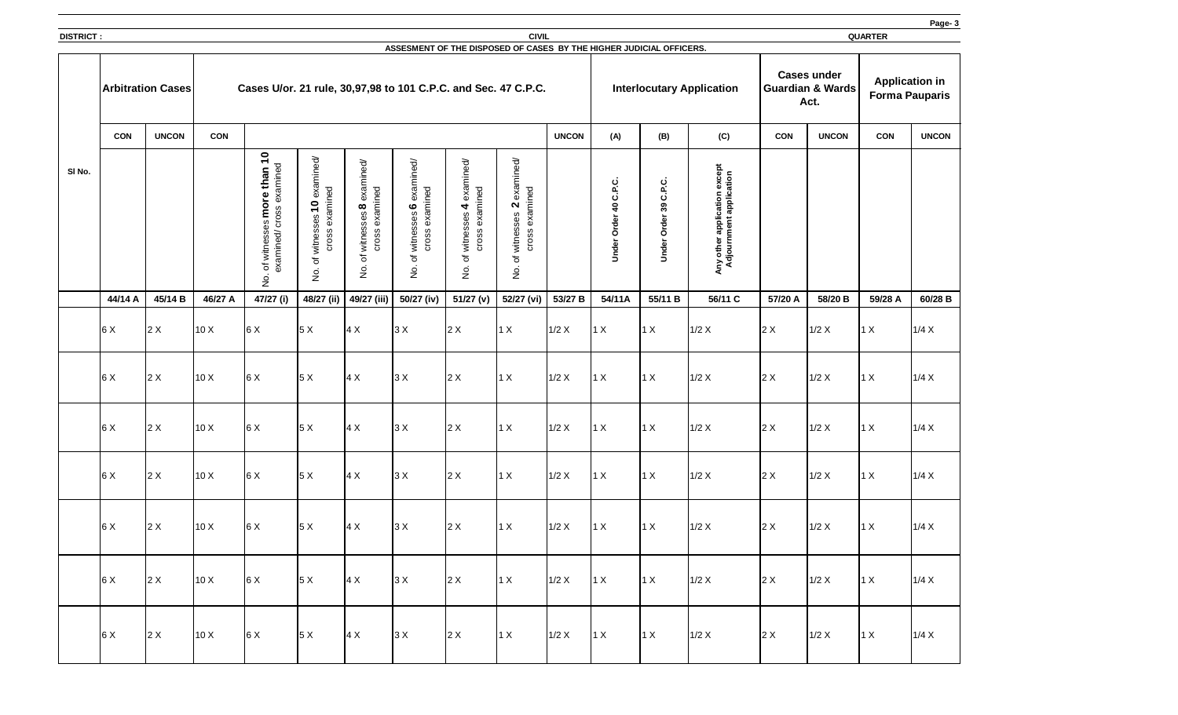|                  |                          |              |            |                                                                                                           |                                                                                                                           |                                                                                    |                                                                                                                       |                                                                                           |                                                                                         |              |                                                                 |                                      |                                                                             |            |                                                           |                                                | Page-3       |
|------------------|--------------------------|--------------|------------|-----------------------------------------------------------------------------------------------------------|---------------------------------------------------------------------------------------------------------------------------|------------------------------------------------------------------------------------|-----------------------------------------------------------------------------------------------------------------------|-------------------------------------------------------------------------------------------|-----------------------------------------------------------------------------------------|--------------|-----------------------------------------------------------------|--------------------------------------|-----------------------------------------------------------------------------|------------|-----------------------------------------------------------|------------------------------------------------|--------------|
| <b>DISTRICT:</b> |                          |              |            |                                                                                                           |                                                                                                                           |                                                                                    |                                                                                                                       |                                                                                           | <b>CIVIL</b>                                                                            |              |                                                                 |                                      |                                                                             |            |                                                           | <b>QUARTER</b>                                 |              |
|                  | <b>Arbitration Cases</b> |              |            | Cases U/or. 21 rule, 30,97,98 to 101 C.P.C. and Sec. 47 C.P.C.                                            |                                                                                                                           |                                                                                    | ASSESMENT OF THE DISPOSED OF CASES BY THE HIGHER JUDICIAL OFFICERS.                                                   |                                                                                           |                                                                                         |              |                                                                 |                                      | <b>Interlocutary Application</b>                                            |            | <b>Cases under</b><br><b>Guardian &amp; Wards</b><br>Act. | <b>Application in</b><br><b>Forma Pauparis</b> |              |
|                  | <b>CON</b>               | <b>UNCON</b> | <b>CON</b> |                                                                                                           |                                                                                                                           |                                                                                    |                                                                                                                       |                                                                                           |                                                                                         | <b>UNCON</b> | (A)                                                             | (B)                                  | (C)                                                                         | <b>CON</b> | <b>UNCON</b>                                              | <b>CON</b>                                     | <b>UNCON</b> |
| SI No.           |                          |              |            | $\overline{\mathbf{C}}$<br>examined<br>than<br>more<br>Cross<br>89<br>examined/<br>witness<br>đ<br>∩<br>ž | examined/<br>examined<br>$\overline{\phantom{0}}$<br>89<br><sub>(</sub><br><b>Cross</b><br>witnes:<br>ঁত<br>$\frac{1}{2}$ | examined/<br>examined<br>$\infty$<br>ses<br>witnes:<br>Cross<br>đ<br>$\frac{1}{2}$ | $\overrightarrow{c}$<br>examin<br>examined<br>$\boldsymbol{\omega}$<br>ses<br>witness<br>Cross<br>'ত<br>$\frac{1}{2}$ | examined/<br>examined<br>$\blacktriangleleft$<br>witnesses<br>Cross<br>đ<br>$\frac{1}{2}$ | examined/<br>examined<br>$\mathbf N$<br>witnesses<br><b>Cross</b><br>ট<br>$\frac{1}{2}$ |              | <u>ပ</u><br>م<br>ن<br>$\overline{\mathbf{q}}$<br>Order<br>Under | ِب<br>ے<br>ن<br>39<br>Order<br>Under | application except<br>ment application<br>Any other applic<br>Adjournment a |            |                                                           |                                                |              |
|                  | 44/14 A                  | 45/14 B      | 46/27 A    | 47/27 (i)                                                                                                 |                                                                                                                           |                                                                                    | 48/27 (ii)   49/27 (iii)   50/27 (iv)                                                                                 | 51/27 (v)                                                                                 | 52/27 (vi)                                                                              | 53/27 B      | 54/11A                                                          | 55/11 B                              | 56/11 C                                                                     | 57/20 A    | 58/20 B                                                   | 59/28 A                                        | 60/28 B      |
|                  | 6X                       | 2X           | 10X        | 6 X                                                                                                       | 5X                                                                                                                        | $\vert 4 \times$                                                                   | 3X                                                                                                                    | 2X                                                                                        | $1 \times$                                                                              | 1/2 X        | 1 X                                                             | $1 \times$                           | 1/2 X                                                                       | $2 \times$ | 1/2 X                                                     | 1 X                                            | 1/4 X        |
|                  | 6X                       | 2X           | 10X        | 6 X                                                                                                       | 5X                                                                                                                        | $\vert 4 \times$                                                                   | 3X                                                                                                                    | 2X                                                                                        | $1 \times$                                                                              | $1/2$ X      | 1 X                                                             | 1 X                                  | 1/2 X                                                                       | $2 \times$ | 1/2 X                                                     | 1 X                                            | 1/4 X        |
|                  | 6X                       | 2X           | 10X        | 6X                                                                                                        | 5X                                                                                                                        | $\vert 4 \times$                                                                   | 3X                                                                                                                    | 2X                                                                                        | $1 \times$                                                                              | 1/2 X        | 1 X                                                             | 1X                                   | $1/2$ X                                                                     | $2 \times$ | 1/2 X                                                     | 1 X                                            | 1/4 X        |
|                  | 6X                       | 2X           | 10X        | 6X                                                                                                        | 5X                                                                                                                        | $\vert 4 \times$                                                                   | 3X                                                                                                                    | $2 \times$                                                                                | $1 \times$                                                                              | 1/2 X        | $1 \times$                                                      | 1 X                                  | $1/2$ X                                                                     | $2 \times$ | $1/2$ X                                                   | 1 X                                            | 1/4 X        |
|                  | 6 X                      | $2 \times$   | 10 X       | 6X                                                                                                        | 5X                                                                                                                        | $\vert 4 \times$                                                                   | 3X                                                                                                                    | 2X                                                                                        | $1 \times$                                                                              | $1/2$ X      | 1 X                                                             | 1 X                                  | $1/2$ X                                                                     | $2 \times$ | $1/2$ X                                                   | 1 X                                            | 1/4 X        |
|                  | 6X                       | 2X           | 10 X       | 6X                                                                                                        | 5X                                                                                                                        | $\vert 4 \times$                                                                   | 3X                                                                                                                    | $2 \times$                                                                                | 1 X                                                                                     | $1/2$ X      | 1x                                                              | $1 \times$                           | 1/2 X                                                                       | 2X         | 1/2 X                                                     | $1 \times$                                     | 1/4 X        |
|                  | 6 X                      | 2X           | 10X        | 6x                                                                                                        | 5X                                                                                                                        | 4X                                                                                 | 3X                                                                                                                    | 2X                                                                                        | 1X                                                                                      | $1/2$ X      | 1x                                                              | 1 X                                  | 1/2 X                                                                       | 2X         | 1/2 X                                                     | $1 \times$                                     | 1/4 X        |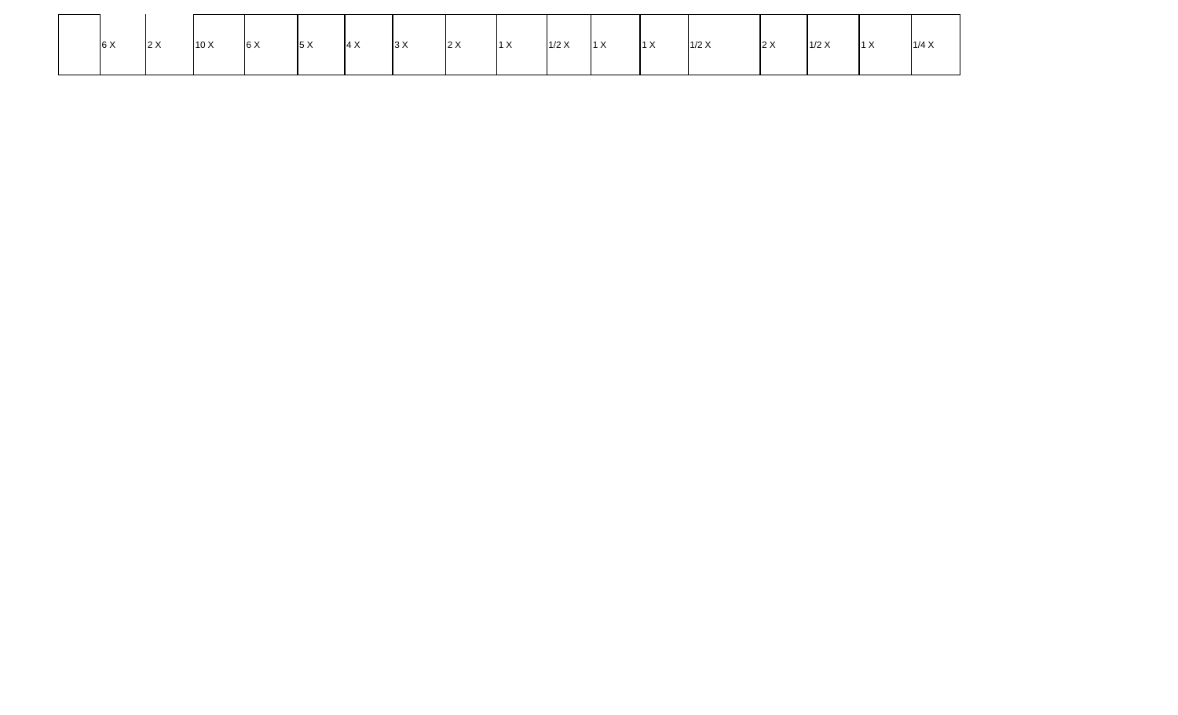| 6X | 2 X | 10 X | 6 X | 5 X | $4 \times$ | 3X | 2 X | 1X | $1/2$ X | $1 \times$ | $\vert$ 1 X | 1/2 X | $2 \times$ | $1/2$ X | $\vert$ 1 X | 1/4 X |
|----|-----|------|-----|-----|------------|----|-----|----|---------|------------|-------------|-------|------------|---------|-------------|-------|
|    |     |      |     |     |            |    |     |    |         |            |             |       |            |         |             |       |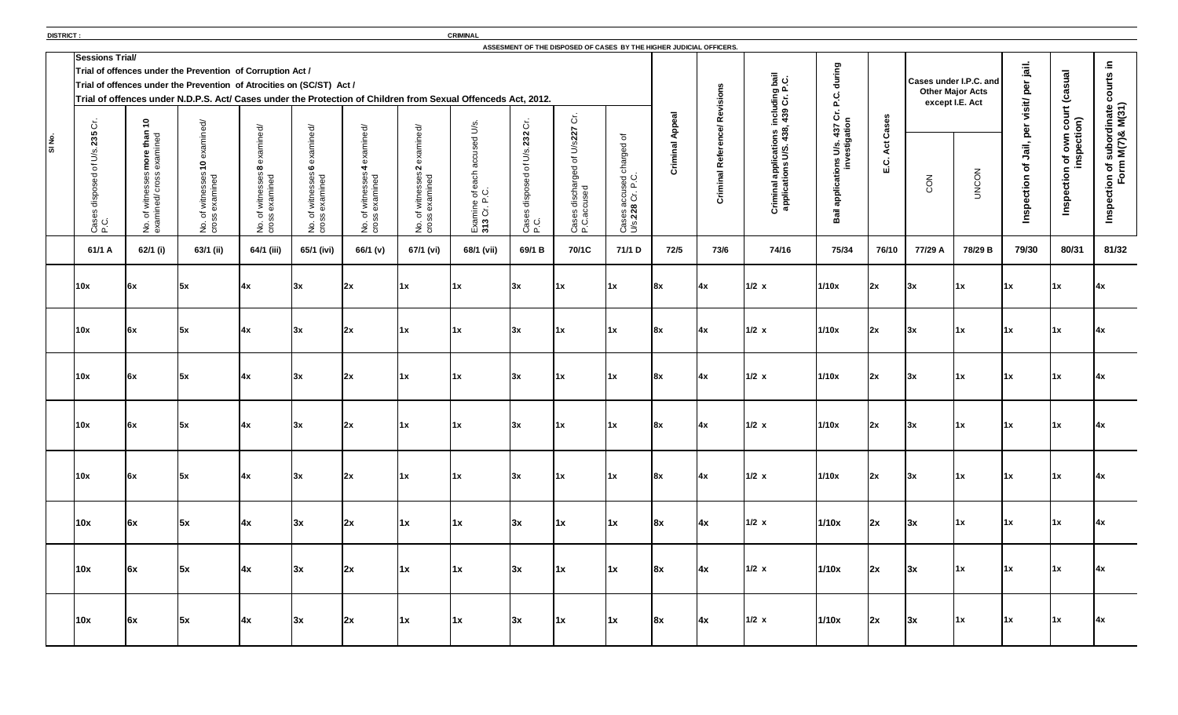**DISTRICT : CRIMINAL** 

| ASSESMENT OF THE DISPOSED OF CASES BY THE HIGHER JUDICIAL OFFICERS.<br><b>Sessions Trial/</b> |                                                                                                                                              |                                                                                                                                                                                                                                                      |                                                                                 |                                                                |                                                     |                                                    |                                             |                                                            |                                                    |                                                                                  |                                                  |                                        |                                                                             |                                                         |                      |                               |                                            |                                                     |                                                    |                                                                                       |
|-----------------------------------------------------------------------------------------------|----------------------------------------------------------------------------------------------------------------------------------------------|------------------------------------------------------------------------------------------------------------------------------------------------------------------------------------------------------------------------------------------------------|---------------------------------------------------------------------------------|----------------------------------------------------------------|-----------------------------------------------------|----------------------------------------------------|---------------------------------------------|------------------------------------------------------------|----------------------------------------------------|----------------------------------------------------------------------------------|--------------------------------------------------|----------------------------------------|-----------------------------------------------------------------------------|---------------------------------------------------------|----------------------|-------------------------------|--------------------------------------------|-----------------------------------------------------|----------------------------------------------------|---------------------------------------------------------------------------------------|
|                                                                                               |                                                                                                                                              | Trial of offences under the Prevention of Corruption Act /<br>Trial of offences under the Prevention of Atrocities on (SC/ST) Act /<br>Trial of offences under N.D.P.S. Act/ Cases under the Protection of Children from Sexual Offenceds Act, 2012. |                                                                                 |                                                                |                                                     |                                                    |                                             |                                                            |                                                    |                                                                                  |                                                  | Revisions                              |                                                                             | during<br><u>ن</u><br>ء                                 |                      | <b>Cases under I.P.C. and</b> | <b>Other Major Acts</b><br>except I.E. Act | jail.<br>$\bar{\mathbf{a}}$                         | (casual                                            | ≘.<br>urts<br>$\overline{8}$                                                          |
| $\mathcal{L}$<br>IO.<br>C)<br>$\sim$<br>M<br>Case<br>P.C.                                     | $\bullet$<br>$\overline{\phantom{0}}$<br>hed<br>$\sigma$<br>(I)<br>ທ<br>U.<br>$\circ$<br>ಾ<br>$\overrightarrow{e}$<br>$\Omega$<br>No.<br>exa | xamined/<br>ብን<br>$\bullet$<br>examined<br>SSex<br>witne<br>$5\frac{6}{9}$<br>S e                                                                                                                                                                    | ਠੋ<br>$\infty$<br>$\overline{e}$<br>witness<br>examin<br>$\sigma$<br>ທ<br>po co | ਠੋ<br>$\mathbf{o}$<br>f witnesses<br>examined<br>ី »្ល័<br>No. | ਠੋ<br>f witnesses.<br>examined<br>No. of<br>cross e | ਠੋ<br>Φ<br>N<br>No. of witnesses<br>cross examined | Φ<br>$\frac{6}{9}$ C.<br>Examine<br>313 Cr. | $\ddot{\circ}$<br>232<br>U/S<br>'ত<br>disp<br>Case<br>P.C. | Ğ.<br>of U/s227<br>Cases discharged<br>P.C.accused | ৳<br><b>D</b><br><b>uger</b><br>১<br>sed<br>P.C.<br>Cases accus<br>U/s.228 Cr. I | ಸ<br>$\overline{\mathbf{o}}$<br>ninal<br>in<br>Ö | $\mathbf{r}$<br>Ō<br>Refer<br>Criminal | Criminal applications including bail<br>applications U/S. 438, 439 Cr. P.C. | ions U/s. 437 Cr. I<br>investigation<br>applica<br>Bail | Cases<br>Act<br>E.C. | CON                           | <b>UNCON</b>                               | Visit<br>per<br>Jail,<br>Ⴆ<br>ection<br><b>Insp</b> | n of own court (<br>inspection)<br>ction<br>Insper | subordinate d<br>1 M(7)& M(31)<br>$\tilde{\epsilon}$<br>$\sigma$<br>Inspection<br>For |
| 61/1 A                                                                                        | 62/1 (i)                                                                                                                                     | 63/1 (ii)                                                                                                                                                                                                                                            | 64/1 (iii)                                                                      | 65/1 (ivi)                                                     | 66/1 (v)                                            | 67/1 (vi)                                          | 68/1 (vii)                                  | 69/1 B                                                     | 70/1C                                              | 71/1 D                                                                           | 72/5                                             | 73/6                                   | 74/16                                                                       | 75/34                                                   | 76/10                | 77/29 A                       | 78/29 B                                    | 79/30                                               | 80/31                                              | 81/32                                                                                 |
| 10x                                                                                           | 6x                                                                                                                                           | 5x                                                                                                                                                                                                                                                   | 4x                                                                              | l3x                                                            | 2x                                                  | 1x                                                 | 1x                                          | 3x                                                         | $\mathbf{11} \times$                               | 1x                                                                               | 8x                                               | $\vert 4x \vert$                       | $1/2$ x                                                                     | 1/10x                                                   | 2x                   | 3x                            | $\mathsf{1x}$                              | $\vert 1x \vert$                                    | $\overline{11}$                                    | 14x                                                                                   |
| 10x                                                                                           | 6x                                                                                                                                           | $\mathbf{5x}$                                                                                                                                                                                                                                        | 4x                                                                              | 3x                                                             | $\mathsf{I}2\mathsf{x}$                             | 1x                                                 | 1x                                          | 3x                                                         | $\mathbf{11} \times$                               | 1x                                                                               | 8x                                               | 4x                                     | $1/2$ x                                                                     | 1/10x                                                   | 2x                   | 3x                            | $\mathsf{I}$ 1x                            | $\vert 1x \vert$                                    | 1x                                                 |                                                                                       |
| 10x                                                                                           | $\mathsf{6x}$                                                                                                                                | 5x                                                                                                                                                                                                                                                   | $\vert 4x \vert$                                                                | 3x                                                             | 2x                                                  | $\mathbf{1} \mathbf{x}$                            | $\mathbf{1} \mathbf{x}$                     | 3x                                                         | $\vert 1x \vert$                                   | $\vert$ 1x                                                                       | 8x                                               | $\mathbf{A}$                           | $1/2$ x                                                                     | 1/10x                                                   | 2x                   | 3x                            | $\vert$ 1x                                 | $\vert 1x \vert$                                    | $\mathsf{1x}$                                      | 4x                                                                                    |
| 10x                                                                                           | 6x                                                                                                                                           | 5x                                                                                                                                                                                                                                                   | 4x                                                                              | 3x                                                             | 2x                                                  | $\mathbf{1} \mathbf{x}$                            | $\vert$ 1x                                  | 3x                                                         | $\vert 1x \vert$                                   | $\mathbf{1} \mathbf{x}$                                                          | 8x                                               | 4x                                     | $1/2$ x                                                                     | 1/10x                                                   | 2x                   | 3x                            | $\mathbf{1} \mathbf{x}$                    | $\vert 1x \vert$                                    | $\vert 1x \vert$                                   | $\mathsf{I}4\mathsf{x}$                                                               |
| 10x                                                                                           | 6x                                                                                                                                           | 5x                                                                                                                                                                                                                                                   | 4x                                                                              | 3x                                                             | 2x                                                  | $\mathbf{1} \mathbf{x}$                            | 1x                                          | 3x                                                         | $\vert 1x \vert$                                   | $\vert$ 1x                                                                       | 8x                                               | <b>4x</b>                              | $1/2$ x                                                                     | 1/10x                                                   | 2x                   | 3x                            | $\mathbf{1} \mathbf{x}$                    | $\vert 1x \vert$                                    | $\vert 1x \vert$                                   | $\mathsf{I}4\mathsf{x}$                                                               |
| 10x                                                                                           | 6x                                                                                                                                           | 5x                                                                                                                                                                                                                                                   | 4x                                                                              | 3x                                                             | 2x                                                  | $\mathsf{1x}$                                      | $\vert$ 1x                                  | 3x                                                         | $\vert 1x \vert$                                   | $\mathbf{1}$                                                                     | 8x                                               | 14x                                    | $1/2$ x                                                                     | 1/10x                                                   | 2x                   | 3x                            | $\vert$ 1x                                 | $\vert 1x \vert$                                    | $\vert 1x \vert$                                   | $\mathsf{A} \mathsf{x}$                                                               |
| 10x                                                                                           | 6x                                                                                                                                           | 5x                                                                                                                                                                                                                                                   | $\mathbf{A}$                                                                    | 3x                                                             | 2x                                                  | $\mathsf{1x}$                                      | $\vert$ 1x                                  | 3x                                                         | $\vert 1x \vert$                                   | $\mathbf{1}$                                                                     | 8x                                               | 14x                                    | $1/2$ x                                                                     | 1/10x                                                   | 2x                   | 3x                            | $\mathsf{1x}$                              | $\vert 1x \vert$                                    | $\vert 1x \vert$                                   | $\mathsf{I}4\mathsf{x}$                                                               |
| 10x                                                                                           | 6x                                                                                                                                           | 5x                                                                                                                                                                                                                                                   | $\mathbf{A}$                                                                    | 3x                                                             | 2x                                                  | $\vert 1x \vert$                                   | $\vert$ 1x                                  | 3x                                                         | $\vert 1x \vert$                                   | $\vert 1x \vert$                                                                 | 8x                                               | 14x                                    | $1/2$ x                                                                     | 1/10x                                                   | 2x                   | 3x                            | $\vert$ 1x                                 | $\vert 1x \vert$                                    | $\vert 1x \vert$                                   | 14x                                                                                   |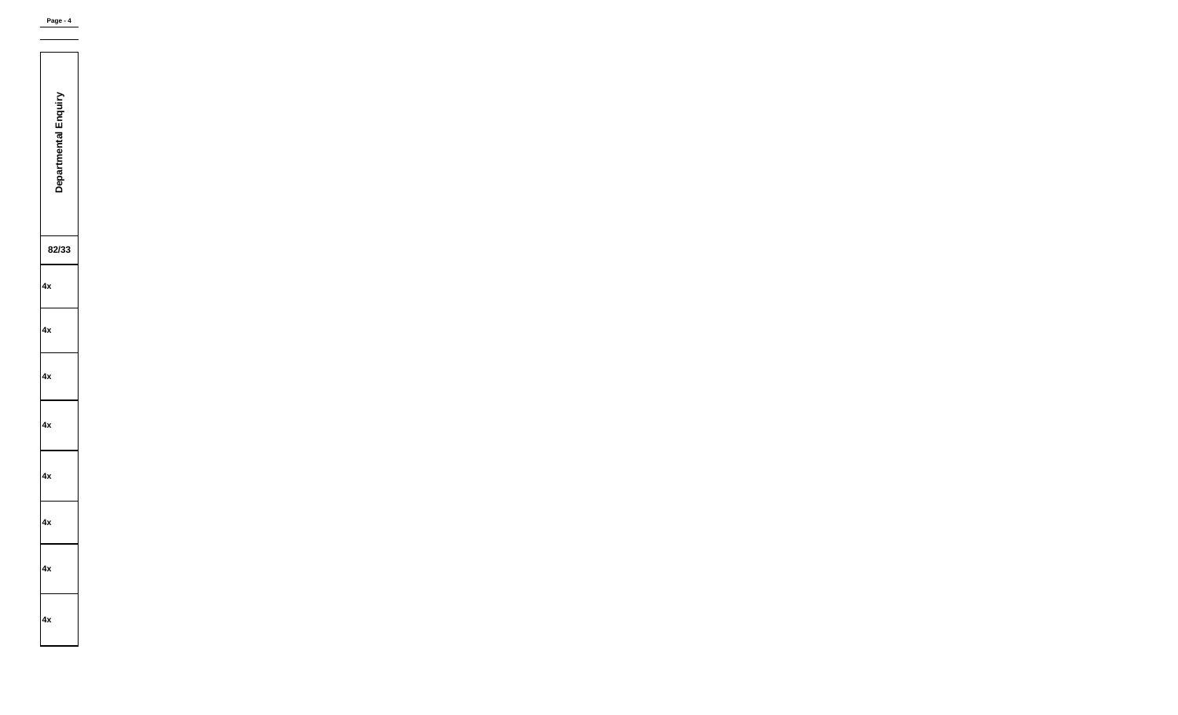| <b>SALES</b><br>5<br><b>Departmental End</b><br>١<br>I |
|--------------------------------------------------------|
| 82/:<br>Ι3                                             |
| 4х                                                     |
| 4х                                                     |
| 4x                                                     |
| 4х                                                     |
| 4х                                                     |
| 4х                                                     |
| 4x                                                     |
| ŀχ                                                     |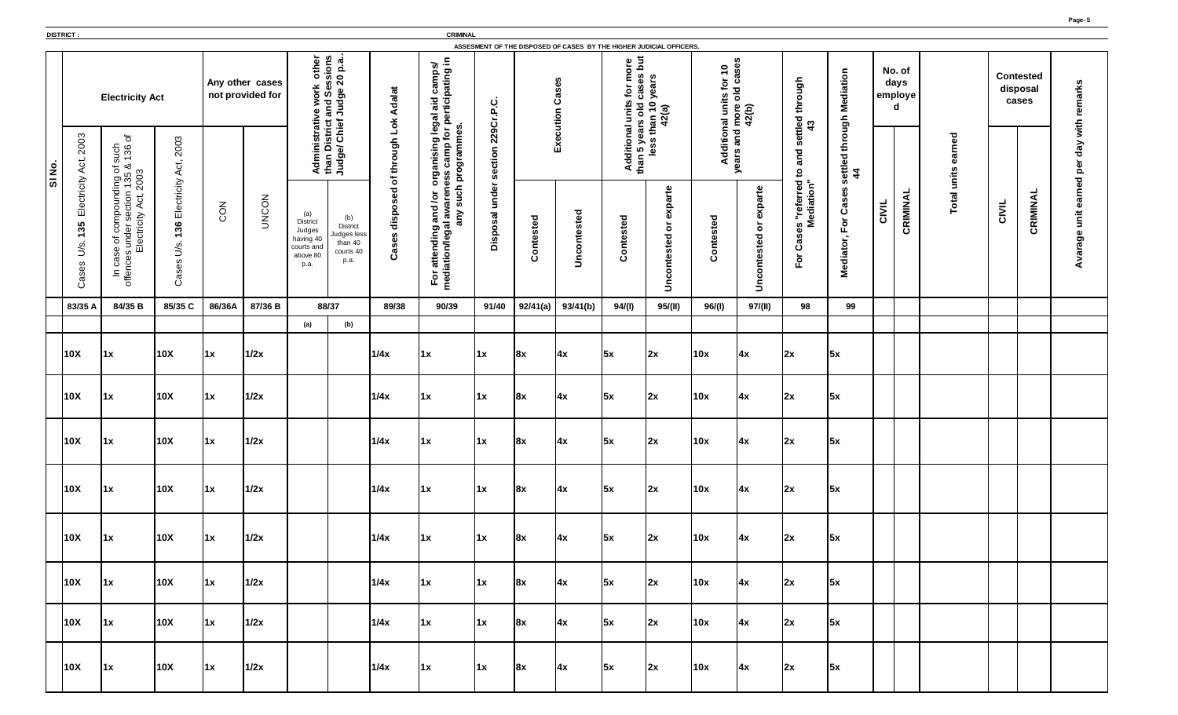|       | <b>DISTRICT:</b>                                          |                                                                                                                                |                                                                                                 |                  |                                     |                                                                         |                                                                       |                                    | <b>CRIMINAL</b>                                                                                |                        |               | ASSESMENT OF THE DISPOSED OF CASES BY THE HIGHER JUDICIAL OFFICERS. |                                                                                  |                                                                                                                                                                                    |                                                                                     |                                                                                  |                                                                                                              |                                                                 |       |                                |                                       |       |                                       |                                                                |
|-------|-----------------------------------------------------------|--------------------------------------------------------------------------------------------------------------------------------|-------------------------------------------------------------------------------------------------|------------------|-------------------------------------|-------------------------------------------------------------------------|-----------------------------------------------------------------------|------------------------------------|------------------------------------------------------------------------------------------------|------------------------|---------------|---------------------------------------------------------------------|----------------------------------------------------------------------------------|------------------------------------------------------------------------------------------------------------------------------------------------------------------------------------|-------------------------------------------------------------------------------------|----------------------------------------------------------------------------------|--------------------------------------------------------------------------------------------------------------|-----------------------------------------------------------------|-------|--------------------------------|---------------------------------------|-------|---------------------------------------|----------------------------------------------------------------|
|       |                                                           | <b>Electricity Act</b>                                                                                                         |                                                                                                 |                  | Any other cases<br>not provided for | other<br>ork<br>Ses<br>$\mathbf{a}$                                     | sions<br>0 p.a<br>20<br>$\bullet$<br>ರಾ<br>bng<br>Jud                 | <b>Adalat</b><br>ðΚ                | camps/<br>pating in<br>aid<br>$t$ ici<br>legal<br><b>Pel</b>                                   | <u>ပု</u><br>င္        |               | S,<br>ase<br>ပ                                                      | but<br>စု<br>ð<br>$\boldsymbol{\varpi}$<br>ਠ<br>Ë<br>$\bar{\bullet}$<br><b>D</b> | n,<br>year<br>$\overline{\phantom{0}}$<br>2(a)<br>than<br>₹                                                                                                                        | $\bullet$<br>$\blacktriangledown$<br>for<br>units<br>$\overline{\overline{\sigma}}$ | ഗ<br>ပ္တ<br>$\mathbf \sigma$<br>Ω<br>$\overline{\mathsf{a}}$<br>ore<br>2(b)<br>ε | through                                                                                                      | through Mediation                                               |       | No. of<br>days<br>employe<br>d |                                       |       | <b>Contested</b><br>disposal<br>cases | remarks                                                        |
| SINO. | 2003<br>Act,                                              | $\sigma$<br>such<br>136<br>ding of<br>n 135 &<br>က<br>135<br>2003                                                              | 2003<br>đ,<br>$\prec$                                                                           |                  |                                     | str<br>dminis<br>an<br>$\leq$ $\leq$                                    | <b>District</b><br>e/ Chief<br>$\bullet$<br>Judg                      | ┙<br>through<br>ð                  | programmes<br>$\overline{\sigma}$<br>organising<br>ess camp fo                                 | <b>229C</b><br>section |               | Execution                                                           | $\overline{\mathbf{e}}$<br>ddition<br>><br>an<br>£                               | SS<br>$\overline{\bullet}$                                                                                                                                                         | Addition                                                                            | and<br>ears<br>➤                                                                 | ettled<br>43<br><b>UT</b><br>and<br>$\mathbf{c}$                                                             | settled<br>44                                                   |       |                                | $\overline{\mathbf{c}}$<br>Φ<br>units |       |                                       | with<br>day<br>$\mathbf{a}$<br>$\bar{\mathbf{Q}}$<br><b>DO</b> |
|       | Electricity<br>35<br>$\blacktriangledown$<br>U/S<br>Cases | pound<br>ection<br>Act,<br>ģη<br>Electricity<br><b>S</b><br><b>GOT</b><br>under<br>đ<br>9S<br>മ<br>Ō<br>ပ<br>offen<br>$\equiv$ | Electricity<br>36<br>$\overline{\phantom{0}}$<br>U/S<br>$\boldsymbol{\omega}$<br>ase<br>$\circ$ | CON              | <b>UNCON</b>                        | (a)<br>District<br>Judges<br>having 40<br>courts an<br>above 80<br>p.a. | (b)<br><b>District</b><br>Judges less<br>than 40<br>courts 40<br>p.a. | $\overline{6}$<br>dispose<br>Cases | such<br>ρ<br>Jor<br>$\vec{a}$<br>and<br>.<br>МБ<br>any<br>For attending a<br>mediation/legal a | under<br>sal<br>Dispo: | ontested<br>ပ | Uncontested                                                         | ontested<br>$\overline{O}$                                                       | exparte<br>$\omega$<br>$\circ$<br>$\overline{\mathbf{C}}$<br>ste<br>$\overline{\mathbf{e}}$<br>$\mathbf{C}$<br>$\circ$<br>$\ddot{\mathbf{O}}$<br>$\mathsf{S}% _{\mathsf{M}}^{(1)}$ | sted<br>nte<br>$\bullet$<br>ပ                                                       | exparte<br>$\overleftarrow{\mathbf{o}}$<br>Uncontested                           | referred<br>Niation"<br>diatio<br><u>бе</u><br>n<br>Φ<br><b>S</b><br>Ø<br>Ő<br>$\overline{\mathsf{o}}$<br>LĹ | Cases<br>$\overline{\sigma}$<br>щ<br>$\blacksquare$<br>Mediator | CIVIL | CRIMINAL                       | Total                                 | CIVIL | CRIMINA                               | earn<br>unit<br>age<br>⋖                                       |
|       | 83/35 A                                                   | 84/35 B                                                                                                                        | 85/35 C                                                                                         | 86/36A           | 87/36 B                             | 88/37                                                                   |                                                                       | 89/38                              | 90/39                                                                                          | 91/40                  | 92/41(a)      | 93/41(b)                                                            | 94/(l)                                                                           | 95/(II)                                                                                                                                                                            | 96/(l)                                                                              | 97/(II)                                                                          | 98                                                                                                           | 99                                                              |       |                                |                                       |       |                                       |                                                                |
|       |                                                           |                                                                                                                                |                                                                                                 |                  |                                     | (a)                                                                     | (b)                                                                   |                                    |                                                                                                |                        |               |                                                                     |                                                                                  |                                                                                                                                                                                    |                                                                                     |                                                                                  |                                                                                                              |                                                                 |       |                                |                                       |       |                                       |                                                                |
|       | 10X                                                       | 1x                                                                                                                             | 10X                                                                                             | $\vert 1x \vert$ | 1/2x                                |                                                                         |                                                                       | 1/4x                               | $\vert$ 1x                                                                                     | 1x                     | 8x            | 4x                                                                  | 5x                                                                               | 2x                                                                                                                                                                                 | 10x                                                                                 | $\vert 4x \vert$                                                                 | 2x                                                                                                           | 5x                                                              |       |                                |                                       |       |                                       |                                                                |
|       | 10X                                                       | 1x                                                                                                                             | 10X                                                                                             | $\vert 1x \vert$ | 1/2x                                |                                                                         |                                                                       | 1/4x                               | $\vert 1x \vert$                                                                               | $\vert 1x \vert$       | 8x            | 4x                                                                  | 5x                                                                               | 2x                                                                                                                                                                                 | 10x                                                                                 | $\vert 4x \vert$                                                                 | 2x                                                                                                           | 5x                                                              |       |                                |                                       |       |                                       |                                                                |
|       | 10X                                                       | 1x                                                                                                                             | $\vert$ 10X                                                                                     | $\vert 1x \vert$ | 1/2x                                |                                                                         |                                                                       | 1/4x                               | $\vert$ 1x                                                                                     | $\vert 1x \vert$       | 8x            | 4x                                                                  | 5x                                                                               | 2x                                                                                                                                                                                 | 10x                                                                                 | 4x                                                                               | 2x                                                                                                           | $\sqrt{5x}$                                                     |       |                                |                                       |       |                                       |                                                                |
|       | 10X                                                       | 1x                                                                                                                             | 10X                                                                                             | $\vert 1x \vert$ | 1/2x                                |                                                                         |                                                                       | 1/4x                               | $\vert$ 1x                                                                                     | $\vert 1x \vert$       | 8x            | 4x                                                                  | 5x                                                                               | 2x                                                                                                                                                                                 | 10x                                                                                 | 4x                                                                               | 2x                                                                                                           | 5x                                                              |       |                                |                                       |       |                                       |                                                                |
|       | $\vert$ 10X                                               | $\vert 1x \vert$                                                                                                               | 10X                                                                                             | $\vert 1x \vert$ | 1/2x                                |                                                                         |                                                                       | 1/4x                               | $\vert$ 1x                                                                                     | $\vert 1x \vert$       | 8x            | 4x                                                                  | 5x                                                                               | 2x                                                                                                                                                                                 | 10x                                                                                 | 4x                                                                               | 2x                                                                                                           | 5x                                                              |       |                                |                                       |       |                                       |                                                                |
|       | 10X                                                       | $\vert 1x \vert$                                                                                                               | 10X                                                                                             | $\vert 1x \vert$ | 1/2x                                |                                                                         |                                                                       | 1/4x                               | $\vert$ 1x                                                                                     | $\vert 1x \vert$       | 8x            | 4x                                                                  | 5x                                                                               | 2x                                                                                                                                                                                 | 10x                                                                                 | $\vert 4x \vert$                                                                 | 2x                                                                                                           | 5x                                                              |       |                                |                                       |       |                                       |                                                                |
|       | 10X                                                       | $\vert 1x \vert$                                                                                                               | 10X                                                                                             | $\vert 1x \vert$ | 1/2x                                |                                                                         |                                                                       | 1/4x                               | $\vert 1x \vert$                                                                               | $\vert 1x \vert$       | 8x            | 4x                                                                  | 5x                                                                               | 2x                                                                                                                                                                                 | 10x                                                                                 | 4x                                                                               | 2x                                                                                                           | 5x                                                              |       |                                |                                       |       |                                       |                                                                |
|       |                                                           |                                                                                                                                |                                                                                                 |                  |                                     |                                                                         |                                                                       |                                    | $1/2x$ $1/4x$ $1x$ $1x$ $8x$ $4x$ $5x$ $2x$ $10x$ $4x$                                         |                        |               |                                                                     |                                                                                  |                                                                                                                                                                                    |                                                                                     |                                                                                  | $\begin{vmatrix} 2x & 5x \end{vmatrix}$                                                                      |                                                                 |       |                                |                                       |       |                                       |                                                                |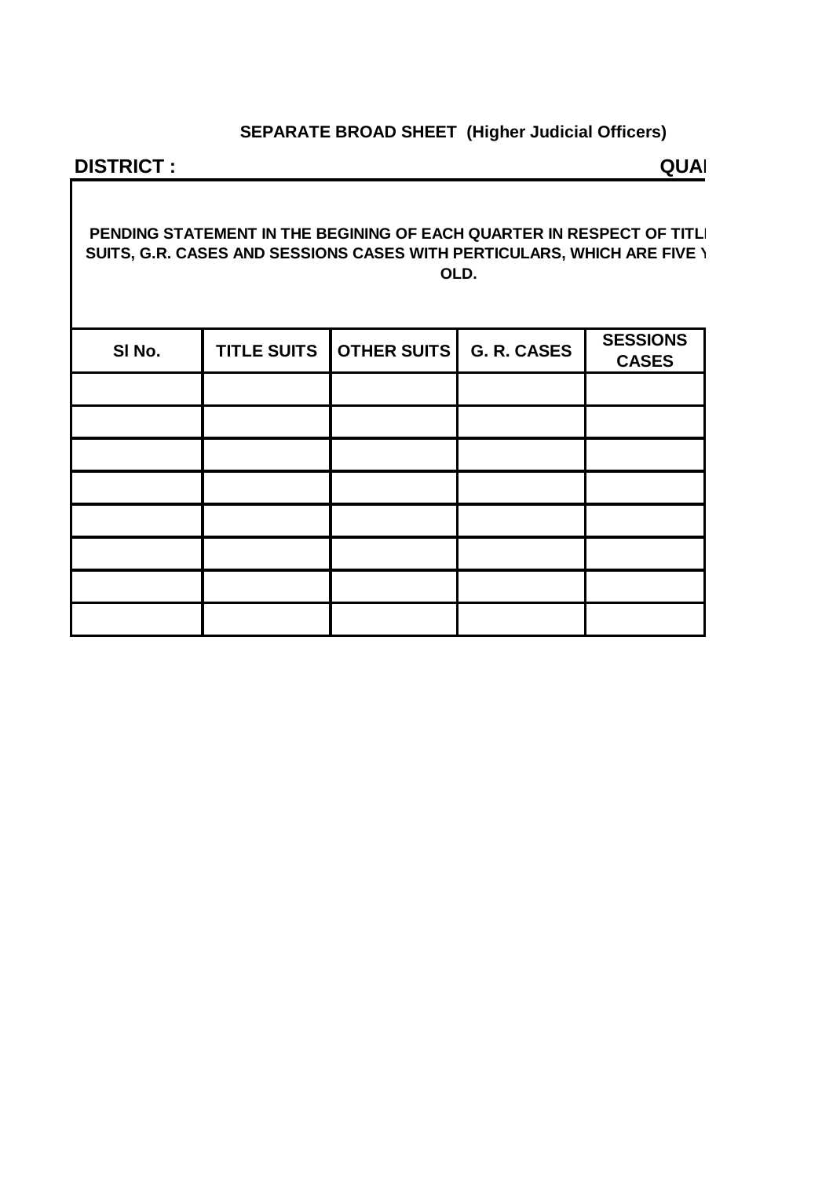# **SEPARATE BROAD SHEET (Higher Judicial Officers)**

## **DISTRICT :** QUARTER **QUARTER**

### **PENDING STATEMENT IN THE BEGINING OF EACH QUARTER IN RESPECT OF TITLI SUITS, G.R. CASES AND SESSIONS CASES WITH PERTICULARS, WHICH ARE FIVE \ OLD.**

| SI No. | <b>TITLE SUITS</b> | <b>OTHER SUITS</b> | G. R. CASES | <b>SESSIONS</b><br><b>CASES</b> |
|--------|--------------------|--------------------|-------------|---------------------------------|
|        |                    |                    |             |                                 |
|        |                    |                    |             |                                 |
|        |                    |                    |             |                                 |
|        |                    |                    |             |                                 |
|        |                    |                    |             |                                 |
|        |                    |                    |             |                                 |
|        |                    |                    |             |                                 |
|        |                    |                    |             |                                 |